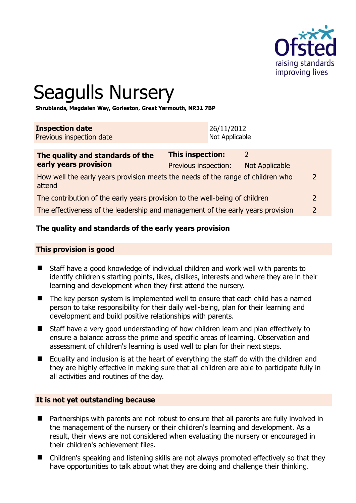

# Seagulls Nursery

**Shrublands, Magdalen Way, Gorleston, Great Yarmouth, NR31 7BP** 

| <b>Inspection date</b>   | 126/11/2012    |
|--------------------------|----------------|
| Previous inspection date | Not Applicable |

| The quality and standards of the<br>early years provision                                 | <b>This inspection:</b> |                |               |
|-------------------------------------------------------------------------------------------|-------------------------|----------------|---------------|
|                                                                                           | Previous inspection:    | Not Applicable |               |
| How well the early years provision meets the needs of the range of children who<br>attend |                         |                | 2             |
| The contribution of the early years provision to the well-being of children               |                         |                | 2             |
| The effectiveness of the leadership and management of the early years provision           |                         |                | $\mathcal{L}$ |
|                                                                                           |                         |                |               |

# **The quality and standards of the early years provision**

# **This provision is good**

- Staff have a good knowledge of individual children and work well with parents to identify children's starting points, likes, dislikes, interests and where they are in their learning and development when they first attend the nursery.
- The key person system is implemented well to ensure that each child has a named person to take responsibility for their daily well-being, plan for their learning and development and build positive relationships with parents.
- Staff have a very good understanding of how children learn and plan effectively to ensure a balance across the prime and specific areas of learning. Observation and assessment of children's learning is used well to plan for their next steps.
- Equality and inclusion is at the heart of everything the staff do with the children and they are highly effective in making sure that all children are able to participate fully in all activities and routines of the day.

# **It is not yet outstanding because**

- Partnerships with parents are not robust to ensure that all parents are fully involved in the management of the nursery or their children's learning and development. As a result, their views are not considered when evaluating the nursery or encouraged in their children's achievement files.
- Children's speaking and listening skills are not always promoted effectively so that they have opportunities to talk about what they are doing and challenge their thinking.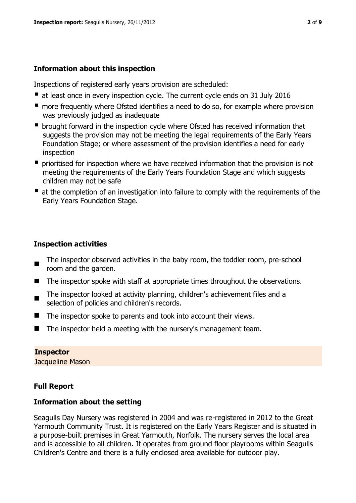# **Information about this inspection**

Inspections of registered early years provision are scheduled:

- at least once in every inspection cycle. The current cycle ends on 31 July 2016
- **n** more frequently where Ofsted identifies a need to do so, for example where provision was previously judged as inadequate
- **•** brought forward in the inspection cycle where Ofsted has received information that suggests the provision may not be meeting the legal requirements of the Early Years Foundation Stage; or where assessment of the provision identifies a need for early inspection
- **P** prioritised for inspection where we have received information that the provision is not meeting the requirements of the Early Years Foundation Stage and which suggests children may not be safe
- at the completion of an investigation into failure to comply with the requirements of the Early Years Foundation Stage.

# **Inspection activities**

- $\blacksquare$ The inspector observed activities in the baby room, the toddler room, pre-school room and the garden.
- The inspector spoke with staff at appropriate times throughout the observations.
- The inspector looked at activity planning, children's achievement files and a selection of policies and children's records.
- The inspector spoke to parents and took into account their views.
- The inspector held a meeting with the nursery's management team.

# **Inspector**

Jacqueline Mason

# **Full Report**

# **Information about the setting**

Seagulls Day Nursery was registered in 2004 and was re-registered in 2012 to the Great Yarmouth Community Trust. It is registered on the Early Years Register and is situated in a purpose-built premises in Great Yarmouth, Norfolk. The nursery serves the local area and is accessible to all children. It operates from ground floor playrooms within Seagulls Children's Centre and there is a fully enclosed area available for outdoor play.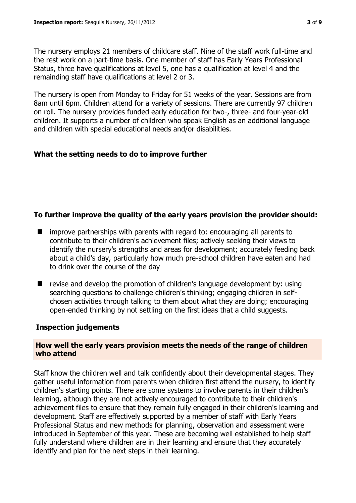The nursery employs 21 members of childcare staff. Nine of the staff work full-time and the rest work on a part-time basis. One member of staff has Early Years Professional Status, three have qualifications at level 5, one has a qualification at level 4 and the remainding staff have qualifications at level 2 or 3.

The nursery is open from Monday to Friday for 51 weeks of the year. Sessions are from 8am until 6pm. Children attend for a variety of sessions. There are currently 97 children on roll. The nursery provides funded early education for two-, three- and four-year-old children. It supports a number of children who speak English as an additional language and children with special educational needs and/or disabilities.

# **What the setting needs to do to improve further**

# **To further improve the quality of the early years provision the provider should:**

- improve partnerships with parents with regard to: encouraging all parents to contribute to their children's achievement files; actively seeking their views to identify the nursery's strengths and areas for development; accurately feeding back about a child's day, particularly how much pre-school children have eaten and had to drink over the course of the day
- $\blacksquare$  revise and develop the promotion of children's language development by: using searching questions to challenge children's thinking; engaging children in selfchosen activities through talking to them about what they are doing; encouraging open-ended thinking by not settling on the first ideas that a child suggests.

# **Inspection judgements**

# **How well the early years provision meets the needs of the range of children who attend**

Staff know the children well and talk confidently about their developmental stages. They gather useful information from parents when children first attend the nursery, to identify children's starting points. There are some systems to involve parents in their children's learning, although they are not actively encouraged to contribute to their children's achievement files to ensure that they remain fully engaged in their children's learning and development. Staff are effectively supported by a member of staff with Early Years Professional Status and new methods for planning, observation and assessment were introduced in September of this year. These are becoming well established to help staff fully understand where children are in their learning and ensure that they accurately identify and plan for the next steps in their learning.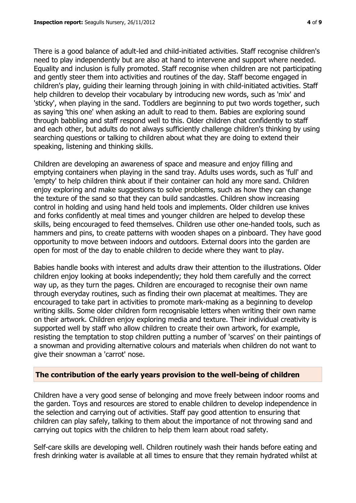There is a good balance of adult-led and child-initiated activities. Staff recognise children's need to play independently but are also at hand to intervene and support where needed. Equality and inclusion is fully promoted. Staff recognise when children are not participating and gently steer them into activities and routines of the day. Staff become engaged in children's play, guiding their learning through joining in with child-initiated activities. Staff help children to develop their vocabulary by introducing new words, such as 'mix' and 'sticky', when playing in the sand. Toddlers are beginning to put two words together, such as saying 'this one' when asking an adult to read to them. Babies are exploring sound through babbling and staff respond well to this. Older children chat confidently to staff and each other, but adults do not always sufficiently challenge children's thinking by using searching questions or talking to children about what they are doing to extend their speaking, listening and thinking skills.

Children are developing an awareness of space and measure and enjoy filling and emptying containers when playing in the sand tray. Adults uses words, such as 'full' and 'empty' to help children think about if their container can hold any more sand. Children enjoy exploring and make suggestions to solve problems, such as how they can change the texture of the sand so that they can build sandcastles. Children show increasing control in holding and using hand held tools and implements. Older children use knives and forks confidently at meal times and younger children are helped to develop these skills, being encouraged to feed themselves. Children use other one-handed tools, such as hammers and pins, to create patterns with wooden shapes on a pinboard. They have good opportunity to move between indoors and outdoors. External doors into the garden are open for most of the day to enable children to decide where they want to play.

Babies handle books with interest and adults draw their attention to the illustrations. Older children enjoy looking at books independently; they hold them carefully and the correct way up, as they turn the pages. Children are encouraged to recognise their own name through everyday routines, such as finding their own placemat at mealtimes. They are encouraged to take part in activities to promote mark-making as a beginning to develop writing skills. Some older children form recognisable letters when writing their own name on their artwork. Children enjoy exploring media and texture. Their individual creativity is supported well by staff who allow children to create their own artwork, for example, resisting the temptation to stop children putting a number of 'scarves' on their paintings of a snowman and providing alternative colours and materials when children do not want to give their snowman a 'carrot' nose.

# **The contribution of the early years provision to the well-being of children**

Children have a very good sense of belonging and move freely between indoor rooms and the garden. Toys and resources are stored to enable children to develop independence in the selection and carrying out of activities. Staff pay good attention to ensuring that children can play safely, talking to them about the importance of not throwing sand and carrying out topics with the children to help them learn about road safety.

Self-care skills are developing well. Children routinely wash their hands before eating and fresh drinking water is available at all times to ensure that they remain hydrated whilst at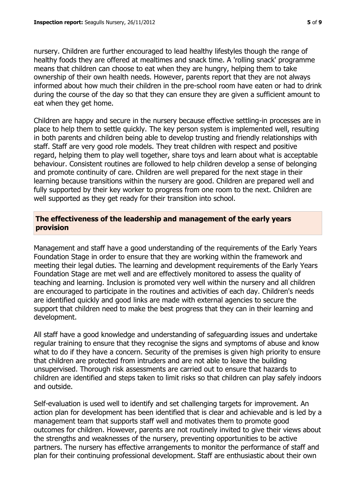nursery. Children are further encouraged to lead healthy lifestyles though the range of healthy foods they are offered at mealtimes and snack time. A 'rolling snack' programme means that children can choose to eat when they are hungry, helping them to take ownership of their own health needs. However, parents report that they are not always informed about how much their children in the pre-school room have eaten or had to drink during the course of the day so that they can ensure they are given a sufficient amount to eat when they get home.

Children are happy and secure in the nursery because effective settling-in processes are in place to help them to settle quickly. The key person system is implemented well, resulting in both parents and children being able to develop trusting and friendly relationships with staff. Staff are very good role models. They treat children with respect and positive regard, helping them to play well together, share toys and learn about what is acceptable behaviour. Consistent routines are followed to help children develop a sense of belonging and promote continuity of care. Children are well prepared for the next stage in their learning because transitions within the nursery are good. Children are prepared well and fully supported by their key worker to progress from one room to the next. Children are well supported as they get ready for their transition into school.

# **The effectiveness of the leadership and management of the early years provision**

Management and staff have a good understanding of the requirements of the Early Years Foundation Stage in order to ensure that they are working within the framework and meeting their legal duties. The learning and development requirements of the Early Years Foundation Stage are met well and are effectively monitored to assess the quality of teaching and learning. Inclusion is promoted very well within the nursery and all children are encouraged to participate in the routines and activities of each day. Children's needs are identified quickly and good links are made with external agencies to secure the support that children need to make the best progress that they can in their learning and development.

All staff have a good knowledge and understanding of safeguarding issues and undertake regular training to ensure that they recognise the signs and symptoms of abuse and know what to do if they have a concern. Security of the premises is given high priority to ensure that children are protected from intruders and are not able to leave the building unsupervised. Thorough risk assessments are carried out to ensure that hazards to children are identified and steps taken to limit risks so that children can play safely indoors and outside.

Self-evaluation is used well to identify and set challenging targets for improvement. An action plan for development has been identified that is clear and achievable and is led by a management team that supports staff well and motivates them to promote good outcomes for children. However, parents are not routinely invited to give their views about the strengths and weaknesses of the nursery, preventing opportunities to be active partners. The nursery has effective arrangements to monitor the performance of staff and plan for their continuing professional development. Staff are enthusiastic about their own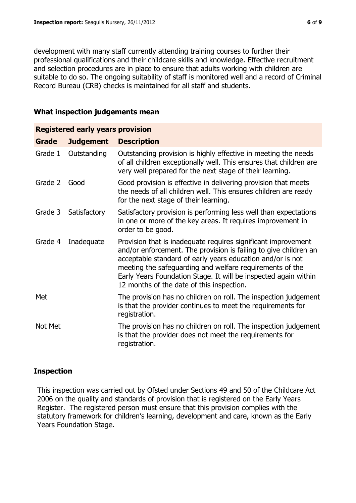development with many staff currently attending training courses to further their professional qualifications and their childcare skills and knowledge. Effective recruitment and selection procedures are in place to ensure that adults working with children are suitable to do so. The ongoing suitability of staff is monitored well and a record of Criminal Record Bureau (CRB) checks is maintained for all staff and students.

# **What inspection judgements mean**

| <b>Registered early years provision</b> |                  |                                                                                                                                                                                                                                                                                                                                                                             |  |  |
|-----------------------------------------|------------------|-----------------------------------------------------------------------------------------------------------------------------------------------------------------------------------------------------------------------------------------------------------------------------------------------------------------------------------------------------------------------------|--|--|
| <b>Grade</b>                            | <b>Judgement</b> | <b>Description</b>                                                                                                                                                                                                                                                                                                                                                          |  |  |
| Grade 1                                 | Outstanding      | Outstanding provision is highly effective in meeting the needs<br>of all children exceptionally well. This ensures that children are<br>very well prepared for the next stage of their learning.                                                                                                                                                                            |  |  |
| Grade 2                                 | Good             | Good provision is effective in delivering provision that meets<br>the needs of all children well. This ensures children are ready<br>for the next stage of their learning.                                                                                                                                                                                                  |  |  |
| Grade 3                                 | Satisfactory     | Satisfactory provision is performing less well than expectations<br>in one or more of the key areas. It requires improvement in<br>order to be good.                                                                                                                                                                                                                        |  |  |
| Grade 4                                 | Inadequate       | Provision that is inadequate requires significant improvement<br>and/or enforcement. The provision is failing to give children an<br>acceptable standard of early years education and/or is not<br>meeting the safeguarding and welfare requirements of the<br>Early Years Foundation Stage. It will be inspected again within<br>12 months of the date of this inspection. |  |  |
| Met                                     |                  | The provision has no children on roll. The inspection judgement<br>is that the provider continues to meet the requirements for<br>registration.                                                                                                                                                                                                                             |  |  |
| Not Met                                 |                  | The provision has no children on roll. The inspection judgement<br>is that the provider does not meet the requirements for<br>registration.                                                                                                                                                                                                                                 |  |  |

# **Inspection**

This inspection was carried out by Ofsted under Sections 49 and 50 of the Childcare Act 2006 on the quality and standards of provision that is registered on the Early Years Register. The registered person must ensure that this provision complies with the statutory framework for children's learning, development and care, known as the Early Years Foundation Stage.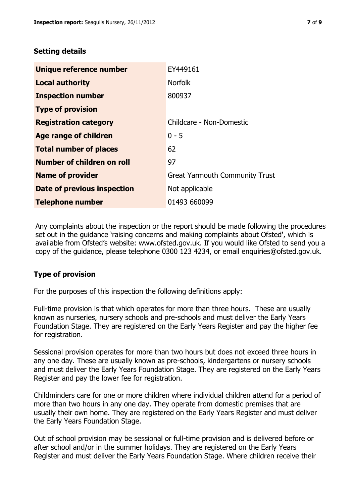# **Setting details**

| Unique reference number            | EY449161                              |
|------------------------------------|---------------------------------------|
| <b>Local authority</b>             | <b>Norfolk</b>                        |
| <b>Inspection number</b>           | 800937                                |
| <b>Type of provision</b>           |                                       |
| <b>Registration category</b>       | Childcare - Non-Domestic              |
| <b>Age range of children</b>       | $0 - 5$                               |
| <b>Total number of places</b>      | 62                                    |
| Number of children on roll         | 97                                    |
| <b>Name of provider</b>            | <b>Great Yarmouth Community Trust</b> |
| <b>Date of previous inspection</b> | Not applicable                        |
| <b>Telephone number</b>            | 01493 660099                          |

Any complaints about the inspection or the report should be made following the procedures set out in the guidance 'raising concerns and making complaints about Ofsted', which is available from Ofsted's website: www.ofsted.gov.uk. If you would like Ofsted to send you a copy of the guidance, please telephone 0300 123 4234, or email enquiries@ofsted.gov.uk.

# **Type of provision**

For the purposes of this inspection the following definitions apply:

Full-time provision is that which operates for more than three hours. These are usually known as nurseries, nursery schools and pre-schools and must deliver the Early Years Foundation Stage. They are registered on the Early Years Register and pay the higher fee for registration.

Sessional provision operates for more than two hours but does not exceed three hours in any one day. These are usually known as pre-schools, kindergartens or nursery schools and must deliver the Early Years Foundation Stage. They are registered on the Early Years Register and pay the lower fee for registration.

Childminders care for one or more children where individual children attend for a period of more than two hours in any one day. They operate from domestic premises that are usually their own home. They are registered on the Early Years Register and must deliver the Early Years Foundation Stage.

Out of school provision may be sessional or full-time provision and is delivered before or after school and/or in the summer holidays. They are registered on the Early Years Register and must deliver the Early Years Foundation Stage. Where children receive their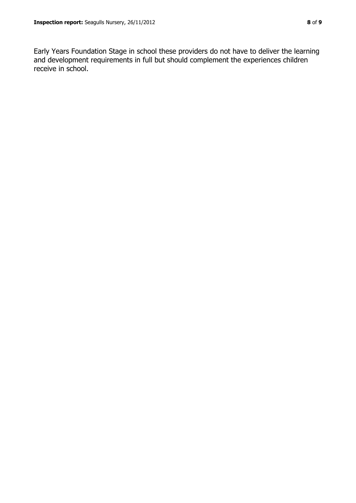Early Years Foundation Stage in school these providers do not have to deliver the learning and development requirements in full but should complement the experiences children receive in school.